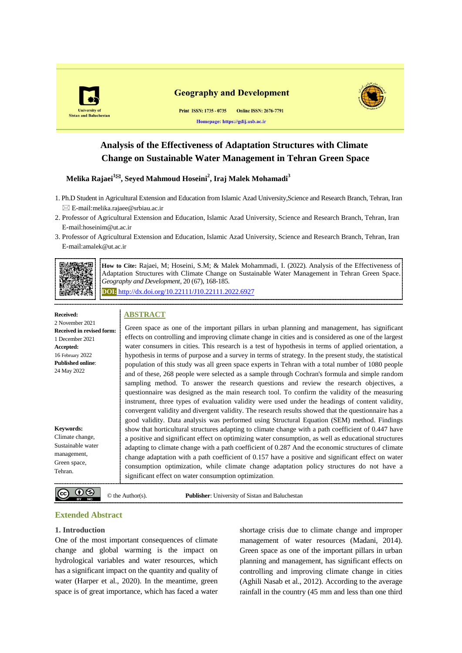

## **Analysis of the Effectiveness of Adaptation Structures with Climate Change on Sustainable Water Management in Tehran Green Space**

### **Melika Rajaei<sup>1</sup>, Seyed Mahmoud Hoseini<sup>2</sup> , Iraj Malek Mohamadi<sup>3</sup>**

- 1. Ph.D Student in Agricultural Extension and Education from Islamic Azad University,Science and Research Branch, Tehran, Iran  $\boxtimes$  E-mail:[melika.rajaee@srbiau.ac.ir](mailto:*melika.rajaee@srbiau.ac.ir)
- 2. Professor of Agricultural Extension and Education, Islamic Azad University, Science and Research Branch, Tehran, Iran E-mail:[hoseinim@ut.ac.ir](mailto:hoseinim@ut.ac.ir)
- 3. Professor of Agricultural Extension and Education, Islamic Azad University, Science and Research Branch, Tehran, Iran E-mail:[amalek@ut.ac.ir](mailto:amalek@ut.ac.ir)



**How to Cite:** Rajaei, M; Hoseini, S.M; & Malek Mohammadi, I. (2022). Analysis of the Effectiveness of Adaptation Structures with Climate Change on Sustainable Water Management in Tehran Green Space. *Geography and Development,* 20 (67), 168-185.

**DOI:** http://dx.doi.org[/10.22111/J10.22111.2022.6927](https://dx.doi.org/10.22111/j10.22111.2022.6927)

#### **Received:**

#### **ABSTRACT**

2 November 2021 **Received in revised form:** 1 December 2021 **Accepted:** 16 February 2022 **Published online**: 24 May 2022 **Keywords:** Climate change, Sustainable water management, Green space, Green space as one of the important pillars in urban planning and management, has significant effects on controlling and improving climate change in cities and is considered as one of the largest water consumers in cities. This research is a test of hypothesis in terms of applied orientation, a hypothesis in terms of purpose and a survey in terms of strategy. In the present study, the statistical population of this study was all green space experts in Tehran with a total number of 1080 people and of these, 268 people were selected as a sample through Cochran's formula and simple random sampling method. To answer the research questions and review the research objectives, a questionnaire was designed as the main research tool. To confirm the validity of the measuring instrument, three types of evaluation validity were used under the headings of content validity, convergent validity and divergent validity. The research results showed that the questionnaire has a good validity. Data analysis was performed using Structural Equation (SEM) method. Findings show that horticultural structures adapting to climate change with a path coefficient of 0.447 have a positive and significant effect on optimizing water consumption, as well as educational structures adapting to climate change with a path coefficient of 0.287 And the economic structures of climate change adaptation with a path coefficient of 0.157 have a positive and significant effect on water consumption optimization, while climate change adaptation policy structures do not have a significant effect on water consumption optimization.

 $\circledcirc$   $\bullet$ 

© the Author(s). **Publisher**: University of Sistan and Baluchestan

## **Extended Abstract**

#### **1. Introduction**

Tehran.

One of the most important consequences of climate change and global warming is the impact on hydrological variables and water resources, which has a significant impact on the quantity and quality of water (Harper et al., 2020). In the meantime, green space is of great importance, which has faced a water

shortage crisis due to climate change and improper management of water resources (Madani, 2014). Green space as one of the important pillars in urban planning and management, has significant effects on controlling and improving climate change in cities (Aghili Nasab et al., 2012). According to the average rainfall in the country (45 mm and less than one third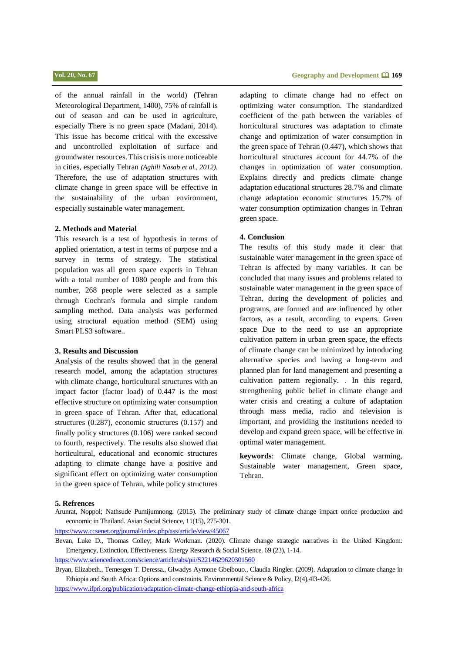of the annual rainfall in the world) (Tehran Meteorological Department, 1400), 75% of rainfall is out of season and can be used in agriculture, especially There is no green space (Madani, 2014). This issue has become critical with the excessive and uncontrolled exploitation of surface and groundwater resources.This crisisis more noticeable in cities, especially Tehran *(Aghili Nasab et al., 2012).* Therefore, the use of adaptation structures with climate change in green space will be effective in the sustainability of the urban environment, especially sustainable water management.

#### **2. Methods and Material**

This research is a test of hypothesis in terms of applied orientation, a test in terms of purpose and a survey in terms of strategy. The statistical population was all green space experts in Tehran with a total number of 1080 people and from this number, 268 people were selected as a sample through Cochran's formula and simple random sampling method. Data analysis was performed using structural equation method (SEM) using Smart PLS3 software..

#### **3. Results and Discussion**

Analysis of the results showed that in the general research model, among the adaptation structures with climate change, horticultural structures with an impact factor (factor load) of 0.447 is the most effective structure on optimizing water consumption in green space of Tehran. After that, educational structures (0.287), economic structures (0.157) and finally policy structures (0.106) were ranked second to fourth, respectively. The results also showed that horticultural, educational and economic structures adapting to climate change have a positive and significant effect on optimizing water consumption in the green space of Tehran, while policy structures

## **جغرافیا و توسعه** 861 **تابستان ،1041 سال بیستم، شماره 76 Vol. 20, No. 67 Geography and Development 169**

adapting to climate change had no effect on optimizing water consumption. The standardized coefficient of the path between the variables of horticultural structures was adaptation to climate change and optimization of water consumption in the green space of Tehran (0.447), which shows that horticultural structures account for 44.7% of the changes in optimization of water consumption. Explains directly and predicts climate change adaptation educational structures 28.7% and climate change adaptation economic structures 15.7% of water consumption optimization changes in Tehran green space.

#### **4. Conclusion**

The results of this study made it clear that sustainable water management in the green space of Tehran is affected by many variables. It can be concluded that many issues and problems related to sustainable water management in the green space of Tehran, during the development of policies and programs, are formed and are influenced by other factors, as a result, according to experts. Green space Due to the need to use an appropriate cultivation pattern in urban green space, the effects of climate change can be minimized by introducing alternative species and having a long-term and planned plan for land management and presenting a cultivation pattern regionally. . In this regard, strengthening public belief in climate change and water crisis and creating a culture of adaptation through mass media, radio and television is important, and providing the institutions needed to develop and expand green space, will be effective in optimal water management.

**keywords**: Climate change, Global warming, Sustainable water management, Green space, Tehran.

#### **5. Refrences**

Arunrat, Noppol; Nathsude Pumijumnong. (2015). The preliminary study of climate change impact onrice production and economic in Thailand. Asian Social Science, 11(15), 275-301.

<https://www.ccsenet.org/journal/index.php/ass/article/view/45067>

Bevan, Luke D., Thomas Colley; Mark Workman. (2020). Climate change strategic narratives in the United Kingdom: Emergency, Extinction, Effectiveness. Energy Research & Social Science. 69 (23), 1-14.

<https://www.sciencedirect.com/science/article/abs/pii/S2214629620301560>

Bryan, Elizabeth., Temesgen T. Deressa., Glwadys Aymone Gbeibouo., Claudia Ringler. (2009). Adaptation to climate change in Ethiopia and South Africa: Options and constraints. Environmental Science & Policy, l2(4),4l3-426.

<https://www.ifpri.org/publication/adaptation-climate-change-ethiopia-and-south-africa>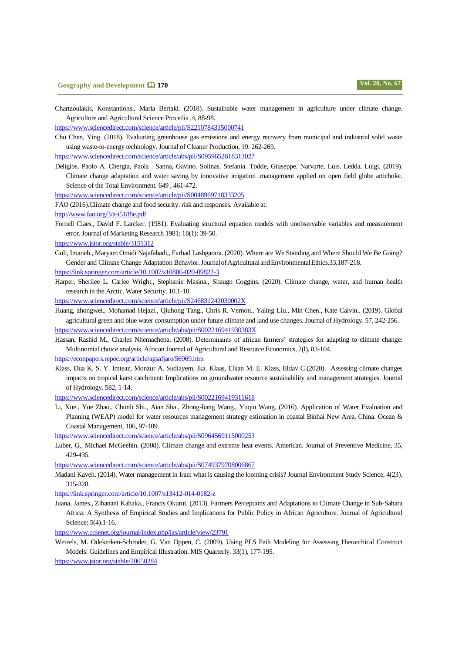Chartzoulakis, Konstantions., Maria Bertaki. (2018). Sustainable water management in agriculture under climate change. Agriculture and Agricultural Science Procedia ,4, 88-98.

<https://www.sciencedirect.com/science/article/pii/S2210784315000741>

Chu Chen, Ying. (2018). Evaluating greenhouse gas emissions and energy recovery from municipal and industrial solid waste using waste-to-energy technology. Journal of Cleaner Production, 19. 262-269.

<https://www.sciencedirect.com/science/article/abs/pii/S0959652618313027>

Deligios, Paolo A. Chergia, Paola . Sanna, Gavino. Solinas, Stefania. Todde, Giuseppe. Narvarte, Luis. Ledda, Luigi. (2019). Climate change adaptation and water saving by innovative irrigation .management applied on open field globe artichoke. Science of the Total Environment. 649 , 461-472.

<https://www.sciencedirect.com/science/article/pii/S0048969718333205>

FAO (2016).Climate change and food security: risk and responses. Available at:

<http://www.fao.org/3/a-i5188e.pdf>

- Fornell Claes., David F. Larcker. (1981). Evaluating structural equation models with unobservable variables and measurement error. Journal of Marketing Research 1981; 18(1): 39-50.
- <https://www.jstor.org/stable/3151312>
- Goli, Imaneh., Maryam Omidi Najafabadi,, Farhad Lashgarara. (2020). Where are We Standing and Where Should We Be Going? Gender and Climate Change Adaptation Behavior. Journal of Agricultural and Environmental Ethics.33,187-218.

<https://link.springer.com/article/10.1007/s10806-020-09822-3>

Harper, Sherilee L. Carlee Wright., Stephanie Masina., Shaugn Coggins. (2020). Climate change, water, and human health research in the Arctic. Water Security. 10.1-10.

<https://www.sciencedirect.com/science/article/pii/S246831242030002X>

- Huang, zhongwei., Mohamad Hejazi., Qiuhong Tang., Chris R. Vernon., Yaling Liu., Min Chen., Kate Calvin.. (2019). Global agricultural green and blue water consumption under future climate and land use changes. Journal of Hydrology. 57, 242-256. <https://www.sciencedirect.com/science/article/abs/pii/S002216941930383X>
- Hassan, Rashid M., Charles Nhemachena. (2008). Determinants of african farmers' strategies for adapting to climate change: Multinomial choice analysis. African Journal of Agricultural and Resource Economics, 2(l), 83-104.

<https://econpapers.repec.org/article/agsafjare/56969.htm>

Klass, Dua K. S. Y. Imteaz, Monzur A. Sudiayem, Ika. Klaas, Elkan M. E. Klass, Eldav C.(2020). Assessing climate changes impacts on tropical karst catchment: Implications on groundwater resource sustainability and management strategies. Journal of Hydrology. 582, 1-14.

<https://www.sciencedirect.com/science/article/abs/pii/S0022169419311618>

Li, Xue., Yue Zhao., Chunli Shi., Aian Sha., Zhong-liang Wang., Yuqiu Wang. (2016). Application of Water Evaluation and Planning (WEAP) model for water resources management strategy estimation in coastal Binhai New Area, China. Ocean & Coastal Management, 106, 97-109.

<https://www.sciencedirect.com/science/article/abs/pii/S0964569115000253>

Luber, G., Michael McGeehin. (2008). Climate change and extreme heat events. American. Journal of Preventive Medicine, 35, 429-435.

<https://www.sciencedirect.com/science/article/abs/pii/S0749379708006867>

Madani Kaveh. (2014). Water management in Iran: what is causing the looming crisis? Journal Environment Study Science, 4(23). 315-328.

<https://link.springer.com/article/10.1007/s13412-014-0182-z>

Juana, James., Zibanani Kahaka., Francis Okurut. (2013). Farmers Perceptions and Adaptations to Climate Change in Sub-Sahara Africa: A Synthesis of Empirical Studies and Implications for Public Policy in African Agriculture. Journal of Agricultural Science: 5(4).1-16.

<https://www.ccsenet.org/journal/index.php/jas/article/view/23791>

Wetzels, M. Odekerken-Schroder, G. Van Oppen, C. (2009). Using PLS Path Modeling for Assessing Hierarchical Construct Models: Guidelines and Empirical Illustration. MIS Quarterly. 33(1), 177-195.

<https://www.jstor.org/stable/20650284>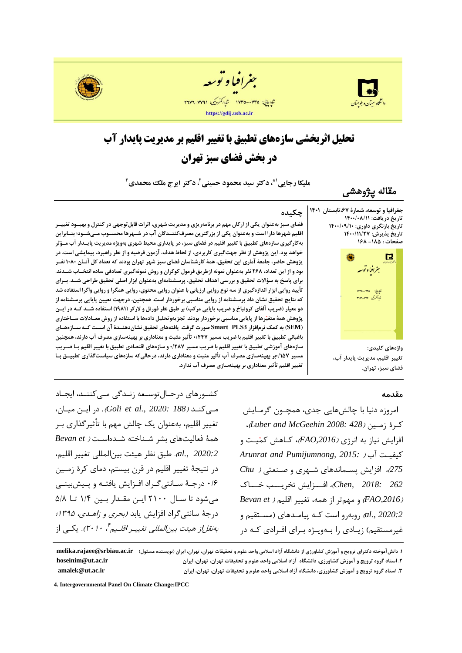





# **تحلیل اثربخشی سازههای تطبیق با تغییر اقلیم بر مدیریت پایدار آب در بخش فضای سبز تهران**

**، دکتر سید محمود حسینی 1\* ملیکا رجایی ، دکتر ایرج ملک محمدی <sup>2</sup> 3**

**مقاله پژوهشی**

**جغرافیا و توسعه، شمارۀ ،76تابستان 1041 تاریخ دریافت: 1044/40/11 تاریخ بازنگری داوری: 1044/40/14 تاریخ پذیرش: 1044/11/76 صفحات : -101 170** G بغرافيا وتوسعه

## **چکیده**

 **فضای سبز به عنوان یکی از ارکان مهم در برنامه ریزی و مدیریت شهری، اثرات قابل توجهی در کنترل و بهبوود تغییور اقلیم شهرها دارا است و به عنوان یکی از بزرگترین مصرف کننودگان آب در شوهرها محسووب موی شوود ؛ بنوابراین به کارگیری سازه های تطبیق با تغییر اقلیم در فضای سبز، در پایداری محیط شهری به ویژه مدیریت پایودار آب مورثر خواهد بود. این پژوهش از نظر جهت گیری کاربردی، از لحاظ هدف، آزمون فرضیه و از نظر راهبرد، پیمایشی است . در پژوهش حاضر، جامعۀ آماری این تحقیق، همۀ کارشناسان فضای سبز شهر تهران بودند که تعداد کل آنوان 1404 نفور بود و از این تعداد، 870 نفر به عنوان نمونه ازطریق فرمول کوکران و روش نمونه گیری تصادفی ساده انتخواب شودند . برای پاسخ به سراالت تحقیق و بررسی اهداف تحقیق، پرسشنامه ای به عنوان ابزار اصلی تحقیق طر احی شود . بورای تأیید روایی ابزار اندازهگیری از سه نوع روایی ارزیابی با عنوان روایی محتوی، روایی همگرا و روایی واگرا استفاده شد که نتایج تحقیق نشان داد پرسشنامه از روایی مناسبی برخوردار است. همچنین، درجهت تعیین پایایی پرسشنامه از دو معیار (ضریب آلفای کرونباخ و ضریب پایایی مرکب) بر طبق نظر فورنل و لارکر (۱۹۸۱) استفاده شـد کـه در ایـن پژوهش همۀ متغی رها از پایایی مناسبی برخوردار بودند. تجزیه وتحلیل داده ها با استفاده از روش معوادالت سواختاری )SEM ) به کمک نرم افزار 3PLS Smart صورت گرفت. یافته های تحقیق نشان دهنود ۀ آن اسوت کوه سوازه هوای باغبانی تطبیق با تغییر اقلیم با ضریب مسیر 4/006 تأثیر مثبت و معناداری بر بهینه سازی مصرف آب دارند، همچنین سازه های آموزشی تطبیق با تغییر اقلیم با ضریب مسیر 4/806 و سازه های اقتصادی تطبیق با تغییر اقلیم بوا ضوریب مسیر 4/116 بر بهینه ساز ی مصرف آب تأثیر مثبت و معناداری دارند، درحالی که سازه های سیاست گذاری تطبیوق بوا تغییر اقلیم تأثیر معناداری بر بهینه سازی مصرف آب ندارد .** 

#### **مقدمه**

**واژههای کلیدی:**

**فضای سبز، تهران.**

**تغییر اقلیم، مدیریت پایدار آب،** 

ل<br>تاپاچاپی: ۱۷۳۵–۱۷۳۵ .<br>شااکترونی، ۷۷۹۱-۲۷۷

امروزه دنیا با چالش هایی جدی، همچون گرمایش کور ۀ زموی )*428 2008: McGeehin and Luber*)، افزایش نیاز به انرژی *(FAO,2016)،* کـاهش کمّیـت و *Arunrat and Pumijumnong, 2015:* ( ب کیفیو *275*(، افزایش پسوماندهاي هویري و عوی ی ) *Chu 262 2018: ,Chen*)، افوووزایش یبریووو وووا )*,2016FAO* )و میمیر از همه، یغییر اقلیم ) *et Bevan 2020:2 .,al )*روبهرو است کـه پیامـدهای (مسـتقیم و غیرمستقیم) زیـادی را بـهویـژه بـرای افـرادی کـه در

۱. دانش آموخته دکترای ترویج و آموزش کشاورزی از دانشگاه آزاد اسلامی واحد علوم و تحقیقات تهران، تهران، ایران (نویسنده مسئول) melika.rajaee@srbiau.ac.ir<br>۲. استاد گروه ترویج و آموزش کشاورزی، دانشگاه آزاد اسلامی واحد علوم و **.8 استاد گروه ترویج و آموزش کشاورزی، دانشگاه آزاد اسالمی واحد علوم و تحقیقات تهران، تهران، ایران [ir.ac.ut@hoseinim](mailto:hoseinim@ut.ac.ir) .3 استاد گروه ترویج و آموزش کشاورزی، دانشگاه آزاد اسالمی واحد علوم و تحقیقات تهران، تهران، ایران [ir.ac.ut@amalek](mailto:amalek@ut.ac.ir)**

**4. Intergovernmental Panel On Climate Change:IPCC**

کشورهای درحـال توسـعه زنـدگی مـی کننـد، ایجـاد موی کیود )*188 2020: .,al et Goli*)*.* در ایو میوا ، تغییر اقلیم، به عنوان یک چالش مهم با تأثیر گذاری بـر همۀ ف الی هاي بشر هویا ه هوده اسو ) *et Bevan 2020:2 .,al*) . طبق نظر هیئ بی المللی یغییر اقلیم، در نتیجۀ تغییر اقلیم در قرن بیستم، دمای کرۀ زمـین ۰/۶ درجهٔ سانتی گراد افزایش یافتـه و پـیش بینـی میشود تا سال ۲۱۰۰ ایس مقـدار بـین ۱/۴ تــا ۵/۸ درجۀ سانتي گراد افزايش يابد (بحري و زاهـدي، 1۳۹۵؛ به *نقل از هیئت بین المللی تغییـر اقلـیم <sup>۲</sup>۰۱۰ . یکـی* از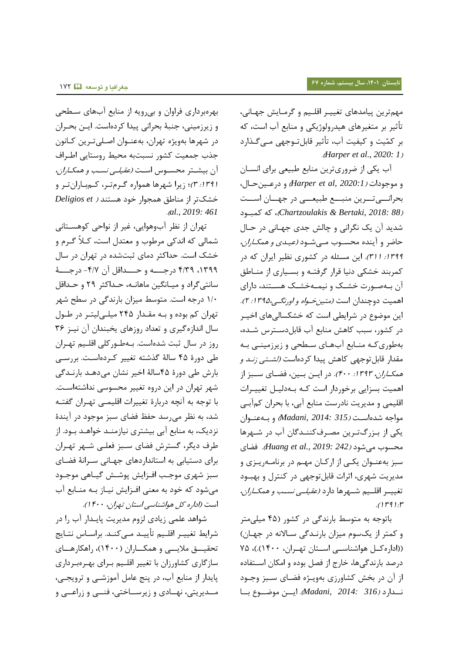مهم ترین پیامدهای تغییـر اقلـیم و گرمـایش جهـانی، تأثیر بر متغیرهای هیدرولوژیکی و منابع آب است، که بر کمّیت و کیفیت آب، تأثیر قابل تـوجهی مـی گـذارد .) *Harper et al., 2020: 1*(

آب یکی از ضروريترين منابع طبيعي براي انسـان و منجندات )*2020:1 ,al et Harper* )و درعوی حوا ، بحرانسی تسرین منبسع طبیعسی در جهسان اسست )*88 2018: ,Bertaki & Chartzoulakis*)، که کمبوند شدید آن یک نگرانی و چالش جدی جهـانی در حـال حاضر و آینده محسوب مے شود *(عیدی و همکاران،* 1۳۹۹: *۳۱۱).* این مسئله در کشوری نظیر ایران که در کمربند خشکی دنیا قرار گرفتـه و بسـیاری از منـاطق آن بهصورت خشک و نیمهخشک هستند، داراي اهمیت دوچندان است *(متین خواه و اورنگی،۱۳۹۵: ۲).* این موضوع در شرایطی است که خشکسالیهای اخیـر در کشور، سبب کاهش منابع آب قابلدسترس شـده، بهطوری کـه منـابع آبهـای سـطحی و زیرزمینـی بـه مقدار قابل توجهی کاهش پیدا کردهاست *(لشتی زند و* هم*کــاران، ١٣٩٣: ۴٠٠).* در ایــن بــين، فضــاي ســبز از اهمیت بسزایی برخوردار است کـه بـهدلیـل تغییـرات اقلیمی و مدیریت نادرست منابع آبی، با بحران کمآبی مواجه شده است *(315 :Madani, 2014)* و به عنوان یکی از بـزرگتـرین مصـرفکننـدگان آب در شـهرها محسن می هند )*242 2019: .,al et Huang*). فساي سبز به عنــوان یکــی از ارکــان مهــم در برنامــهریــزی و مدیریت شهری، اثرات قابل توجهی در کنترل و بهبود تغییــر اقلــیم شــهرها دارد *(عقیلــی نســب و همکــاران،*  $(119)!$ 

باتوجه به متوسط بارندگی در کشور (۴۵ میلی متر و کمتر از یک سوم میزان بارندگی سالانه در جهان) ((اداره کل هواشناسی استان تهران، ١۴٠٠).)، ٧۵ درصد بارندگی ها، خارج از فصل بوده و امکان استفاده از آن در بخش کشاورزي بهويـژه فضـاي سـبز وجـود نوودارد )*316 2014: ,Madani*) . ایوو منضوونع بووا

بهرهبرداري فراوان و بی رویه از منابع آبهاي سطحی و زیرزمینی، جنبۀ بحرانی پیدا کردهاست. ایـن بحـران در شهرها بهویژه تهران، بهعنــوان اصــلی تــرین کــانون جذب جمعیت کشور نسبتبه محیط روستایی اطـراف آن بیشتر محسوس است *(عقیلی نسب و همکـاران،* 8 :891 9( ؛ زیرا هیرها همناره گورم یور، کوم بوارا یور و شک یر از میاطق همدنار ند هس ید ) *et Deligios* .) *al., 2019: 461*

تهران از نظر آبوهوایی، غیر از نواحی کوهستانی شمالی که اندکی مرطوب و معتدل است، کـلاً گـرم و خشک است. حداکثر دمای ثبتشده در تهران در سال ٩٣٩٩، ٣/٢٩ درجــــه و حــــداقل آن ٣/٧- درجــــۀ سانتی گراد و میـانگین ماهانــه، حـداکثر ٢٩ و حـداقل ۱/۰ درجه است. متوسط میزان بارندگی در سطح شهر تهران کم بوده و بـه مقـدار ۲۴۵ میلـی لیتـر در طـول سال اندازه گیري و تعداد روزهاي یخبندان آن نیـز ٣۶ روز در سال ثبت شدهاست. بهطورکلی اقلیم تهران طی دورۀ 45 سالۀ گذه ه یغییر کورده اسو . بررسوی بارش طی دورۀ 45 سالۀ ا یر نشا می دهود بارنودگی شهر تهران در این دروه تغییر محسوسی نداشتهاست. با توجه به آنچه دربارۀ تغییرات اقلیمبی تهـران گفتـه شد، به نظر می رسد حفظ فضای سبز موجود در آیندۀ نزدیک، به منابع آبی بیشتری نیازمنـد خواهـد بـود. از طرف دیگر، گسترش فضای سـبز فعلـی شـهر تهـران برای دستیابی به استانداردهای جهـانی سـرانۀ فضـای سبز شهری موجب افـزایش پوشـش گیـاهی موجـود می شود که خود به معنی افـزایش نیـاز بـه منـابع آب است (اداره کل هواشناسی استان تهران، ۴۰۰ ().

شواهد علمی زیادی لزوم مدیریت پایـدار آب را در شرایط تغییـر اقلـیم تأییـد مـیکنـد. براسـاس نتـایج تحقیـــق ملایـــی و همکـــاران (۱۴۰۰)، راهکارهـــای سازگاري کشاورزان با تغيير اقلـيم بـراي بهـرهبـرداري پایدار از منابع آب، در پنج عامل آموزشـبی و ترویجـبی، مــدیریتی، نهــادی و زیرســاختی، فنـــی و زراعـــی و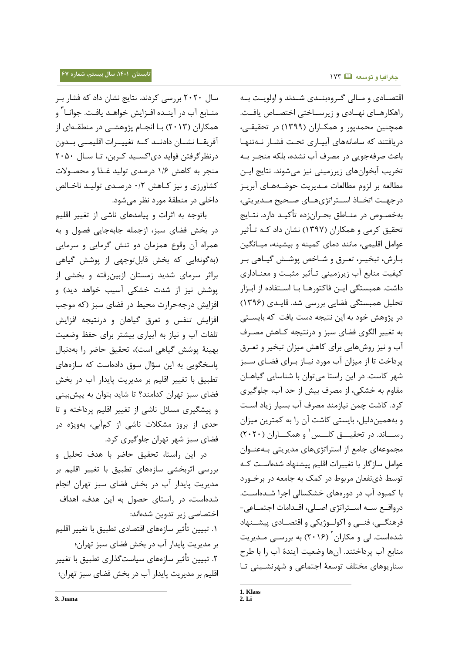سال ۲۰۲۰ بررسی کردند. نتایج نشان داد که فشار ب منــابع آب در آینــده افــزایش خواهــد یافـت. جوانــا<sup>۳</sup> و همکاران (۲۰۱۳) بـا انجــام پژوهشــی در منطقــهای از آفریقــا نشـــان دادنــد کــه تغییـــرات اقلیمـــی بــدون درنظر گرفتن فواید دی اکسید کربن، تـا سـال ٢٠۵٠ منجر به کاهش ۱/۶ درصدی تولید غذا و محصولات کشاورزي و نيز کاهش ۰/۲ درصدي توليد ناخالص داخلی در منطقۀ مورد نظر می شود.

باینجه به اثرات و پیامدهاي ناهی از یغییر اقلیم در بخش فضای سبز، ازجمله جابهجایی فصول و به همراه آن وقوع همزمان دو تنش گرمایی و سرمایی (بهگونهایی که بخش قابل توجهی از پوشش گیاهی براثر سرمای شدید زمستان ازبین رفته و بخشی از پوشش نیز از شدت خشکی آسیب خواهد دید) و افزایش درجهحرارت محیط در فضای سبز (که موجب افزایش تنفس و تعرق گیاهان و درنتیجه افزایش تلفات آب و نیاز به آبیاری بیشتر برای حفظ وضعیت بهینۀ پوشش گیاهی است)، تحقیق حاضر را بهدنبال یاسخگویی به این سؤال سوق دادهاست که سازههای تطبیق با تغییر اقلیم بر مدیریت پایدار آب در بخش فضای سبز تهران کدامند؟ تا شاید بتوان به پیشبینی و پیشگیری مسائل ناشی از تغییر اقلیم پرداخته و تا حدی از بروز مشکلات ناشی از کمآبی، بهویژه در فضاي سبز شهر تهران جلوگیري کرد.

در این راستا، تحقیق حاضر با هدف تحلیل و بررسی اثرببشی سازههاي یطبیق با یغییر اقلیم بر مدیریت پایدار آب در بخش فضای سبز تهران انجام شدهاست، در راستای حصول به این هدف، اهداف اختصاصی زیر تدوین شدهاند:

۱. تبیین تأثیر سازههای اقتصادی تطبیق با تغییر اقلیم بر مدیریت پایدار آب در بخش فضای سبز تهران؛ ۲. تبیین تأثیر سازههای سیاستگذاری تطبیق با تغییر اقلیم بر مدیریت پایدار آب در بخش فضای سبز تهران؛

اقتصـادی و مـالی گـروهبنــدی شــدند و اولويـت بــه راهکارهـای نهـادی و زیرسـاختی اختصـاص یافـت. همچنین محمدپور و همکـاران (۱۳۹۹) در تحقیقـی، دریافتند که سامانههای آبیاری تحت فشار نـهتنها باعث صرفهجویی در مصرف آب نشده، بلکه منجـر بـه تخریب آبخوانهای زیرزمینی نیز میشوند. نتایج ایـن مطالعه بر لزوم مطالعات مـدیریت حوضـههـای آبریـز درجهـت اتخــاذ اســتراتژىهــاى صــحیح مــدیریتی، بهخصوص در منـاطق بحـران;ده تأکیـد دارد. نتـایج تحقیق کرمی و همکاران (۱۳۹۷) نشان داد کـه تـأثیر عوامل اقلیمی، مانند دمای کمینه و بیشینه، میـانگین بـارش، تبخیـر، تعـرق و شـاخص پوشــش گیــاهی بـر کیفیت منابع آب زیرزمینی تـأثیر مثبـت و معنـاداري داشت. همبستگی ایـن فاکتورهـا بـا اســتفاده از ابـزار تحلیل همبستگی فضایی بررسی شد. قایـدی (۱۳۹۶) در پژوهش خود به این نتیجه دست یافت که بایسـتی به تغییر الگوی فضای سبز و درنتیجه کـاهش مصـرف آب و نیز روش هایی برای کاهش میزان تبخیر و تعـرق پرداخت تا از میزان آب مورد نیـاز بـراي فضـاي سـبز شهر کاست. در این راستا می توان با شناسایی گیاهـان مقاوم به خشکی، از مصرف بیش از حد آب، جلوگیری کرد. کاشت چمن نیازمند مصرف آب بسیار زیاد است و به همین دلیل، بایستی کاشت آن را به کمترین میزان رســــاند. در تحقیــــق کلـــس ٰ و همکــــاران (٢٠٢٠) مجموعهاي جامع از استراتژيهاي مدیریتي بـهعنـوان عوامل سازگار با تغییرات اقلیم پیشنهاد شدهاست که توسط ذي نفعان مربوط در کمک به جامعه در برخورد با کمبود آب در دورههای خشکسالی اجرا شـدهاسـت. درواقع سه استراتژی اصلی، اقـدامات اجتمــاعی-فرهنگــی، فنــی و اکولــوژیکی و اقتصــادی پیشــنهاد شدهاست. لی و مکاران<sup>۲</sup> (۲۰۱۶) به بررسـی مـدیریت منابع آب پرداختند. آنها وضعیت آیندۀ آب را با طرح سناریوهای مختلف توسعهٔ اجتماعی و شهرنشینی تا

-

l

**<sup>1.</sup> Klass**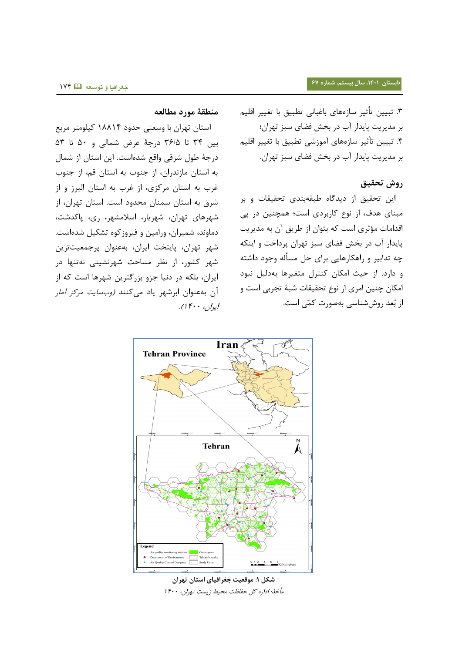.9 یبیی یأثیر سازههاي باغبانی یطبیق با یغییر اقلیم بر مدیریت پایدار آب در بخش فضای سبز تهران؛ .4 یبیی یأثیر سازههاي بمنزهی یطبیق با یغییر اقلیم بر مدیریت پایدار آب در بخش فضای سبز تهران.

## **روش تحقیق**

این تحقیق از دیدگاه طبقهبندی تحقیقات و بر مبنای هدف، از نوع کاربردی است؛ همچنین در پی اقدامات مؤثري است که بتوان از طریق آن به مدیریت پایدار آب در بخش فضای سبز تهران پرداخت و اینکه چه تدابیر و راهکارهایی برای حل مسأله وجود داشته و دارد. از حیث امکان کنترل متغیرها بهدلیل نبود امکان چنین امری از نوع تحقیقات شبۀ تجربی است و از بُعد روششناسی بهصورت کمّی است.

## **منطقۀ مورد مطالعه**

استان تهران با وسعتی حدود ۱۸۸۱۴ کیلومتر مربع بی 94 یا 96/5 درجۀ عرض همالی و 51 یا 59 درجۀ طول شرقی واقع شدهاست. این استان از شمال به استان مازندران، از جنوب به استان قم، از جنوب غرب به استان مرکزي، از غرب به استان البرز و از شرق به استان سمنان محدود است. استان تهران، از شهرهای تهران، شهریار، اسلامشهر، ری، پاکدشت، دماوند، شمیران، ورامین و فیروزکوه تشکیل شدهاست. شهر تهران، پایتخت ایران، بهعنوان پرجمعیتترین شهر کشور، از نظر مساحت شهرنشینی نهتنها در ایران، بلکه در دنیا جزو بزرگترین شهرها است که از آن بهعنوان ابرشهر یاد میکنند *(وبسایت مرکز آمار* ایران، ۴۰۰ ().



**شکل :1 موقعیت جغرافیای استان تهران** مأخذ: اداره کل حفاظت محیط زیست تهران، ۱۴۰۰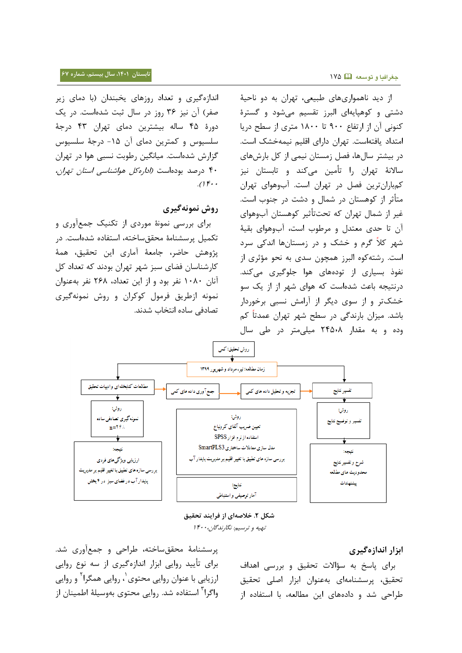اندازهگیري و تعداد روزهاي یخبندان (با دماي زیر صفر) آن نیز ۳۶ روز در سال ثبت شدهاست. در یک دورۀ ۴۵ ساله بیشترین دمای تهران ۴۳ درجۀ سلسیوس و کمترین دمای آن ۱۵- درجۀ سلسیوس گزارش شدهاست. میانگین رطوبت نسبی هوا در تهران ۴۰ درصد بودهاست *(اداره کل هواشناسی استان تهران،*  $\iota$ 

## **روش نمونهگیری**

برای بررسی نمونۀ موردی از تکنیک جمعآوری و تکمیل پرسشنامۀ محققساخته، استفاده شدهاست. در پژوهش حاضر، جامعۀ آماری این تحقیق، همۀ کارشناسان فضای سبز شهر تهران بودند که تعداد کل آنان ۱۰۸۰ نفر بود و از این تعداد، ۲۶۸ نفر بهعنوان نمونه ازطریق فرمول کوکران و روش نمونهگیری تصادفی ساده انتخاب شدند.

از دید ناهمواریهای طبیعی، تهران به دو ناحیۀ دشتی و کوهیایهای البرز تقسیم می شود و گسترۀ کنونی آن از ارتفاع ۹۰۰ تا ۱۸۰۰ متری از سطح دریا امتداد یافتهاست. تهران دارای اقلیم نیمهخشک است. در بیشتر سال ها، فصل زمستان نیمی از کل بارشهای سالانۀ تهران را تأمین میکند و تابستان نیز کمباران ترین فصل در تهران است. آبوهواي تهران متأثر از کوهستان در شمال و دشت در جنوب است. غیر از شمال تهران که تحتتأثیر کوهستان آبوهوای آن تا حدي معتدل و مرطوب است، آبوهواي بقيۀ شهر کلاً گرم و خشک و در زمستانها اندکی سرد است. رشته کوه البرز همچون سدي به نحو مؤثري از نفوذ بسیاری از تودههای هوا جلوگیری میکند. درنتیجه باعث شدهاست که هوای شهر از از یک سو خشک تر و از سوی دیگر از آرامش نسبی برخوردار باشد. میزان بارندگی در سطح شهر تهران عمدتاً کم وده و به مقدار ۲۴۵٫۰۸ میلی متر در طی سال



**شکل .8 خالصهای از فرایند تحقیق** تهیه و ترسیم: نگارندگان، ۱۴۰۰

## **ابزار اندازهگیری**

برای پاسخ به سؤالات تحقیق و بررسی اهداف تحقیق، پرسشنامهای بهعنوان ابزار اصلی تحقیق طراحی شد و دادههای این مطالعه، با استفاده از

پرسشنامۀ محققساخته، طراحی و جمعآوری شد. براي یأیید روایی ابزار اندازهگیري از سه ننع روایی ارزیابی با عنوان روایی محتوی<sup>٬</sup>، روایی همگرا<sup>۲</sup> و روایی واگرا<sup>۳</sup> استفاده شد. روایی محتوی بهوسیلۀ اطمینان از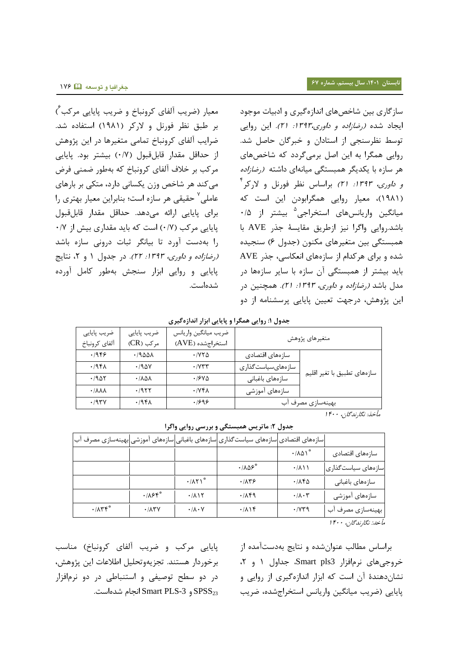معیار (ضریب ألفای کرونباخ و ضریب پایایی مرکب ٔ) بر طبق نظر فورنل و لارکر (۱۹۸۱) استفاده شد. ضرایب آلفای کرونباخ تمامی متغیرها در این پژوهش از حداقل مقدار قابلقبول (۰/۷) بیشتر بود. پایایی مرکب بر خلاف آلفای کرونباخ که بهطور ضمنی فرض می کند هر شاخص وزن یکسانی دارد، متکی بر بارهای عاملی<sup>۷</sup> حقیقی هر سازه است؛ بنابراین معیار بهتری را براي پایایی ارائه میدهد. حداقل میدار قابلقبن  $\cdot$ /Y) است که باید مقداری بیش از ۰/۷ $\cdot$ را بهدس بورد یا بیانگر ثبات درونی سازه باهد (رضازاده و داوری، ١٣٩٣: ٢٢). در جدول ١ و ٢، نتایج پایایی و روایی ابزار سیدش بهطنر کامل بورده شدهاست.

سازگاري بين شاخصهاي اندازهگیري و ادبیات موجود ایجاد شده *(رضازاده و داوری،۱۳۹۳: ۲۱).* این روایی توسط نظرسنجی از استادان و خبرگان حاصل شد. روایی همگرا به این اصل برمیگردد که شاخصهای هر سازه با یکدیگر همبستگی میانهای داشته (ر*ضازاده و داوری، ۱۳۹۳: ۲۱)* براساس نظر فورنل و لارکر<sup>۴</sup> (۱۹۸۱)، معیار روایی همگرابودن این است که میانگین واریانسهای استخراجی<sup>۵</sup> بیشتر از ۰/۵ باهد.روایی واگرا نیز ازطریق میایسۀ جذر AVE با همبستگی بین متغیرهای مکنون (جدول ۶) سنجیده شده و برای هرکدام از سازههای انعکاسی، جذر AVE باید بیشتر از همبستگی آن سازه با سایر سازهها در مدل باشد *(رضازاده و داوری، ۱۳۹۳: ۲۱).* همچنین در این پژوهش، درجهت تعیین پایایی پرسشنامه از دو

**جدول :1 روایی همگرا و پایایی ابزار اندازهگیری**

| ضريب پايايي<br>آلفاي كرونباخ      | ضريب پايايي<br>مرکب (CR) | ضريب ميانگين واريانس<br>استخراجشده (AVE) | متغيرهاي پژوهش    |                             |  |
|-----------------------------------|--------------------------|------------------------------------------|-------------------|-----------------------------|--|
| .1959                             | .1900A                   | $\cdot$ / $\vee$ $\vee$ $\wedge$         | سازەهاى اقتصادى   |                             |  |
| .79F <sub>A</sub>                 | .790V                    | $\cdot$ / $\gamma$ $\tau$                | سازەھايسياستگذارى | سازەهاي تطبيق با تغير اقليم |  |
| .7905                             | · 1101                   | $.194 \Delta$                            | سازەھاي باغبانى   |                             |  |
| $\cdot$ / $\lambda\lambda\lambda$ | .1955                    | $\cdot$ / $\gamma$ $\uparrow$ $\wedge$   | سازەھاي آموزشى    |                             |  |
| .797V                             | .494                     | .1999                                    | بهینهسازی مصرف آب |                             |  |

مأخذ: نگارندگان، ۴۰۰ ا

**جدول :8 ماتریس همبستگی و بررسی روایی واگرا**

|                                                       |                           |                                | سازههای اقتصادی سازههای سیاست گذاری سازههای باغبانی سازههای آموزشی بهینهسازی مصرف آب |                                      |                     |
|-------------------------------------------------------|---------------------------|--------------------------------|--------------------------------------------------------------------------------------|--------------------------------------|---------------------|
|                                                       |                           |                                |                                                                                      | $\cdot$ / $\lambda \Delta \lambda^*$ | سازەهاي اقتصادي     |
|                                                       |                           |                                | $\cdot$ / $\Lambda\Delta\mathcal{F}^*$                                               | $\cdot/\lambda$ \ \                  | اسازەھاي سياستگذارى |
|                                                       |                           | $\cdot$ / $\wedge$ ۲)*         | .78                                                                                  | $\cdot$ /160                         | سازەھاي باغبانى     |
|                                                       | .188                      | .711                           | .719                                                                                 | $\cdot/\lambda\cdot\mathsf{r}$       | سازەهاى آموزشى      |
| $\cdot$ / $\wedge$ $\uparrow$ $\uparrow$ <sup>*</sup> | $\cdot$ / $\wedge$ $\vee$ | $\cdot/\lambda\cdot\mathsf{V}$ | .719                                                                                 | $\cdot$ / $\gamma$ $\gamma$          | بهینهسازی مصرف آب   |
|                                                       |                           |                                |                                                                                      |                                      | گا ہے، ہے، ہے،      |

مأخد: نگارندگان، ۴۰۰ ا

براساس مطالب عنوان شده و نتایج بهدستآمده از  $\zeta$ روجیهای نرمافزار Smart pls3 جداول ۱ و ۲، نشان دهندۀ آن است که ابزار اندازهگیری از روایی و پایایی (ضریب میانگین واریانس استخراجشده، ضریب

پایایی مرکب و ضریب آلفای کرونباخ) مناسب بر خوردار هستند. تجزیهوتحلیل اطلاعات این پژوهش، در دو سطح توصیفی و استنباطی در دو نرمافزار انجام شدهاست. Smart PLS-3 و 5-Smart PLS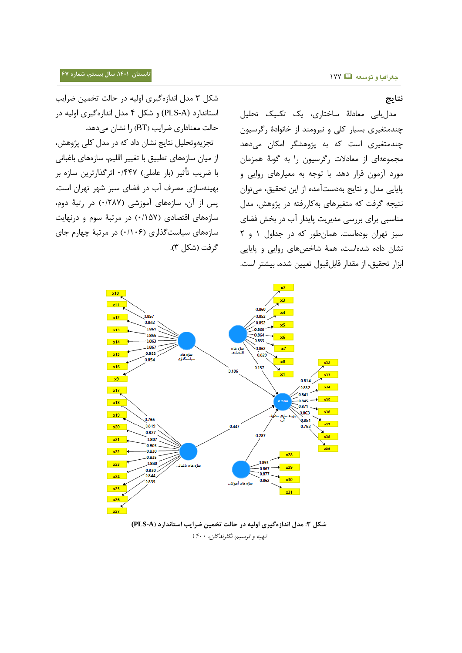#### **نتایج**

مدل یابی معادلۀ ساختاری، یک تکنیک تحلیل چندمتغیری بسیار کلی و نیرومند از خانوادۀ رگرسیون چندمتغیری است که به پژوهشگر امکان میدهد مجموعهاي از معادلات رگرسيون را به گونۀ همزمان مورد آزمون قرار دهد. با توجه به معیارهای روایی و پایایی مدل و نتایج بهدستآمده از این تحقیق، میتوان نتیجه گرفت که متغیرهای بهکاررفته در پژوهش، مدل مناسبی برای بررسی مدیریت پایدار آب در بخش فضای سبز تهران بودهاست. همان طور که در جداول ۱ و ۲ نشان داده شدهاست، همۀ شاخصهای روایی و پایایی ابزار تحقیق، از مقدار قابلقبول تعیین شده، بیشتر است.

شکل ۳ مدل اندازهگیری اولیه در حالت تخمین ضرایب استاندارد (PLS-A) و شکل ۴ مدل اندازهگیری اولیه در حالت معناداري ضرايب (BT) را نشان می دهد.

تجزیهوتحلیل نتایج نشان داد که در مدل کلی پژوهش، از میان سازههای تطبیق با تغییر اقلیم، سازههای باغبانی با ضریب تأثیر (بار عاملی) ۱٬۴۴۷ اثرگذارترین سازه بر بهینهسازی مصرف آب در فضای سبز شهر تهران است. پس از آن، سازههای آموزشی (۱۲۸۷/ در رتبۀ دوم، سازههای اقتصادی (۱۵۷/۰) در مرتبۀ سوم و درنهایت سازههاي سیاست گذاري (۱۱۰۶) در مرتبۀ چهارم جاي گرفت (شکل ۳).



**شکل :3 مدل اندازهگیری اولیه در حالت تخمین ضرایب استاندارد )A-PLS(** تهیه و ترسیم: نگارندگان، ۱۴۰۰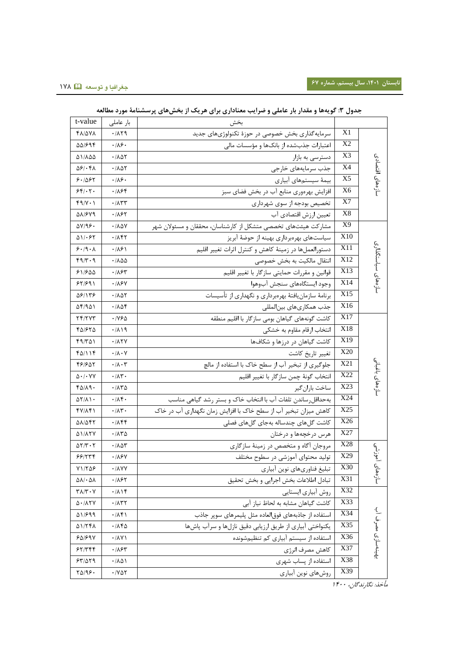| t-value                                      | بار عاملی                                | بخش                                                             |                 |                    |  |
|----------------------------------------------|------------------------------------------|-----------------------------------------------------------------|-----------------|--------------------|--|
| 481/078                                      | .7179                                    | سرمایه گذاری بخش خصوصی در حوزهٔ تکنولوژیهای جدید                | X1              |                    |  |
| 55/694                                       | $\cdot$ /16.                             | اعتبارات جذبشده از بانکها و مؤسسات مالی                         | X <sub>2</sub>  | سازەھای اقتصادی    |  |
| ۵۱/۸۵۵                                       | ۰/۸۵۲                                    | دسترسی به بازار                                                 | X3              |                    |  |
| 581.48                                       | ۰/۸۵۲                                    | جذب سرمايههاي خارجى                                             | X4              |                    |  |
| 8.1088                                       | $\cdot/\lambda$ ۶.                       | بیمهٔ سیستمهای آبیاری                                           | X <sub>5</sub>  |                    |  |
| 55.7.                                        | ۰/۸۶۴                                    | افزایش بهرهوری منابع آب در بخش فضای سبز                         | X <sub>6</sub>  |                    |  |
| $f9/Y \cdot Y$                               | $\cdot$ $/ \Lambda$ ۳۳                   | تخصیص بودجه از سوی شهرداری                                      | X7              |                    |  |
| 581/679                                      | ۰/۸۶۲                                    | تعيين ارزش اقتصادي آب                                           | X8              |                    |  |
| 57/96.                                       | ۰/۸۵۷                                    | مشارکت هیئتهای تخصصی متشکل از کارشناسان، محققان و مسئولان شهر   | X9              | سازەھای سیاستگذاری |  |
| $\Delta V/\cdot F$                           | ۰/۸۴۲                                    | سیاستهای بهرهبرداری بهینه از حوضهٔ آبریز                        | X10             |                    |  |
| 8.19.1                                       | ۰۱۸۶۱                                    | دستورالعملها در زمينهٔ كاهش و كنترل اثرات تغيير اقليم           | X11             |                    |  |
| ۴۹/۳۰۹                                       | ۱۸۵۵.                                    | انتقال مالكيت به بخش خصوصى                                      | X12             |                    |  |
| ۶۱/۶۵۵                                       | ۰/۸۶۳                                    | قوانین و مقررات حمایتی سازگار با تغییر اقلیم                    | X13             |                    |  |
| 55/591                                       | .115Y                                    | وجود ايستگاههاى سنجش آبوهوا                                     | X14             |                    |  |
| 581138                                       | .7001                                    | برنامهٔ سازمان یافتهٔ بهرهبرداری و نگهداری از تأسیسات           | X <sub>15</sub> |                    |  |
| ۵۴/۹۵۱                                       | ۰/۸۵۴                                    | جذب همكارىهاى بينالمللي                                         | X16             |                    |  |
| <u>74/777</u>                                | ۱۷۶۵.                                    | كاشت گونههاى گياهان بومى سازگار با اقليم منطقه                  | X17             | سازەھاى باغبانى    |  |
| ۳۵۱۶۲۵                                       | ۰/۸۱۹                                    | انتخاب ارقام مقاوم به خشكى                                      | X18             |                    |  |
| ۴۹/۳۵۱                                       | $\cdot$ / $\wedge$ $\vee$                | کاشت گیاهان در درزها و شکافها                                   | X19             |                    |  |
| ۴۵/۱۱۴                                       | $\cdot/\lambda\cdot\gamma$               | تغيير تاريخ كاشت                                                | X20             |                    |  |
| 461602                                       | $\cdot/\lambda\cdot\tau$                 | جلوگیری از تبخیر آب از سطح خاک با استفاده از مالچ               | X21             |                    |  |
| $\Delta$ $\cdot$ / $\cdot$ $\vee$ $\vee$     | $\cdot/\lambda$ ۳.                       | انتخاب گونهٔ چمن سازگار با تغییر اقلیم                          | X22             |                    |  |
| 40/19.                                       | ۱۸۳۵.                                    | ساخت باران گير                                                  | X23             |                    |  |
| $\Delta \Upsilon / \Lambda$ ) $\cdot$        | $\cdot$ /14 $\cdot$                      | بهحداقل رساندن تلفات آب با انتخاب خاک و بستر رشد گیاهی مناسب    | X24             |                    |  |
| 47/141                                       | $\cdot$ /1۳ $\cdot$                      | کاهش میزان تبخیر آب از سطح خاک با افزایش زمان نگهداری آب در خاک | X25             |                    |  |
| 581547                                       | ۰۱۸۴۴                                    | كاشت گلهای چندساله بهجای گلهای فصلی                             | X26             |                    |  |
| 51/17Y                                       | ۱۸۳۵.                                    | هرس درخچهها و درختان                                            | X27             |                    |  |
| $\Delta Y/Y \cdot Y$                         | $\cdot$ / $\wedge \wedge \wedge$         | مروجان آگاه و متخصص در زمینهٔ سازگاری                           | X28             | أموزشى             |  |
| 99/779                                       | ۰/۸۶۷                                    | تولید محتوای آموزشی در سطوح مختلف                               | X29             |                    |  |
| $Y1/T\Delta P$                               | $\cdot$ / $\wedge$ Y Y                   | تبليغ فناوريهاي نوين أبياري                                     | X30             | سازەھاى            |  |
| $QV \cdot QV$                                | ۰/۸۶۲                                    | تبادل اطلاعات بخش اجرايي و بخش تحقيق                            | X31             |                    |  |
| $\Upsilon \wedge / \Upsilon \cdot \Upsilon$  | .719                                     | روش آبیاری ایستایی                                              | X32             | بهينەسازى مصرف آب  |  |
| $\Delta$ - / $\Lambda$ $\Upsilon$ $\Upsilon$ | $\cdot$ / $\wedge$ $\uparrow$ $\uparrow$ | كاشت گياهان مشابه به لحاظ نياز آبي                              | X33             |                    |  |
| A1/899                                       | .71                                      | استفاده از جاذبههای فوق لعاده مثل پلیمرهای سویر جاذب            | X34             |                    |  |
| 51/741                                       | ۱۸۴۵                                     | یکنواختی آبیاری از طریق ارزیابی دقیق نازلها و سرآب پاشها        | X35             |                    |  |
| 50/59V                                       | $\cdot$ / $\wedge$ Y                     | استفاده از سیستم آبیاری کم تنظیمشونده                           | X36             |                    |  |
| 57/779                                       | .785                                     | كاهش مصرف انرژى                                                 | X37             |                    |  |
| 57/079                                       | .701                                     | استفاده از پساب شهری                                            | X38             |                    |  |
| $Y\Delta/99$ .                               | $\cdot$ / $\vee$ $\wedge$ $\vee$         | روشهاي نوين أبياري                                              | X39             |                    |  |

## **جدول :3 گویهها و مقدار بار عاملی و ضرایب معناداری برای هریک از بخشهای پرسشنامۀ مورد مطالعه**

.<br>مأخذ: نگارندگان، ۱۴۰۰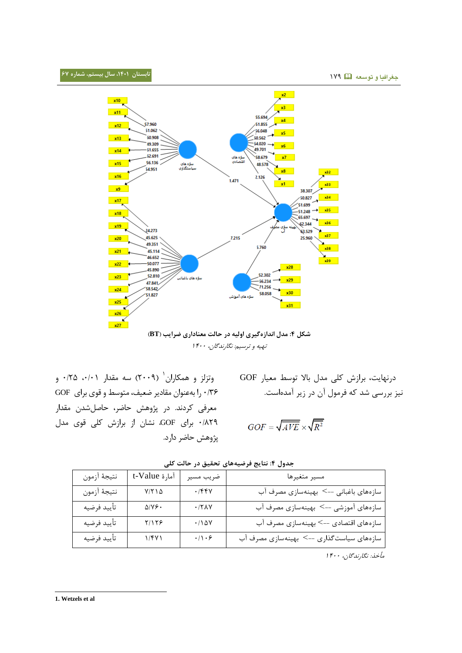

تهیه و ترسیم: نگارندگان، ۱۴۰۰

وتزلز و همکاران ( ۲۰۰۹) سه مقدار ۰/۰۱، ۰/۲۵ و 1/96 را بهعینا میادیر ض یف، م نسط و قني براي GOF معرفی کردند. در پژوهش حاضر، حاصلشدن مقدار ۰/۸۲۹ برای GOF، نشان از برازش کلی قوی مدل پهوهش حاضر دارد. درنهایت، برازش کلی مدل بالا توسط معیار GOF نیز بررسی شد که فرمول آن در زیر آمدهاست.

$$
GOF=\sqrt{AVE}\times\sqrt{R^2}
$$

| مسير متغيرها                             | ضريب مسير                  | 1مارة t-Value                   | نتيجهٔ أزمون |
|------------------------------------------|----------------------------|---------------------------------|--------------|
| سازههای باغبانی --> بهینهسازی مصرف آب    | $\cdot$ /۴۴۷               | $Y/Y \cup \Delta$               | نتيجهٔ أزمون |
| سازههای آموزشی --> بهینهسازی مصرف آب     | $\cdot$ /٢٨٧               | $\Delta/\gamma$ $\mathcal{S}$ . | تأييد فرضيه  |
| سازههای اقتصادی --> بهینهسازی مصرف آب    | $\cdot / 10V$              | Y/YY                            | تأييد فرضيه  |
| سازههای سیاستگذاری --> بهینهسازی مصرف آب | $\cdot/\wedge\cdot\varphi$ | $1/\gamma\gamma$                | تأييد فرضيه  |
|                                          |                            |                                 |              |

**جدول :0 نتایج فرضیههای تحقیق در حالت کلی**

مأخذ: نگارندگان، ۱۴۰۰

l **1. Wetzels et al**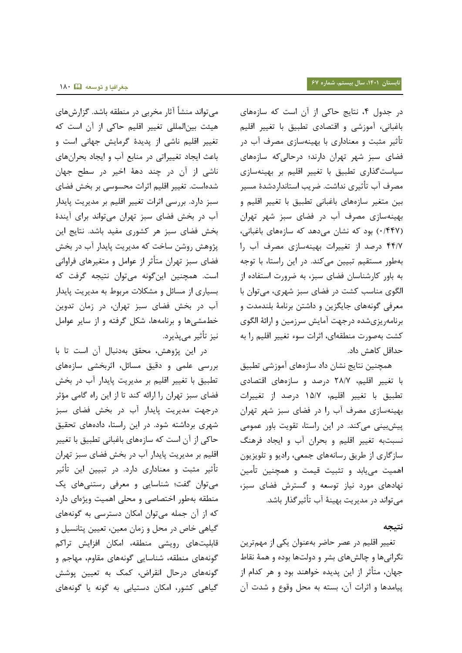می تواند منشأ آثار مخربی در منطقه باشد. گزارشهای هیئت بینالمللی تغییر اقلیم حاکی از آن است که تغییر اقلیم ناشی از پدیدۀ گرمایش جهانی است و باعث ایجاد تغییراتی در منابع آب و ایجاد بحرانهای ناشی از آن در چند دهۀ اخیر در سطح جهان شدهاست. تغییر اقلیم اثرات محسوسی بر بخش فضای سبز دارد. بررسی اثرات یغییر اقلیم بر مدیری پایدار آب در بخش فضای سبز تهران می تواند برای آیندۀ بخش فضای سبز هر کشوری مفید باشد. نتایج این پژوهش روشن ساخت که مدیریت پایدار آب در بخش فضای سبز تهران متأثر از عوامل و متغیرهای فراوانی است. همچنین این گونه می توان نتیجه گرفت که بسیاری از مسائل و مشکلات مربوط به مدیریت پایدار آب در بخش فضای سبز تهران، در زمان تدوین خطمشی ها و برنامهها، شکل گرفته و از سایر عوامل نیز یأثیر میپذیرد.

در این پژوهش، محقق بهدنبال آن است تا با بررسی علمی و دقیق مسائل، اثرببشی سازههاي تطبیق با تغییر اقلیم بر مدیریت پایدار آب در بخش فضاي سبز تهران را ارائه کند تا از این راه گامی مؤثر درجهت مدیریت پایدار آب در بخش فضای سبز شهری برداشته شود. در این راستا، دادههای تحقیق حاکی از آن است که سازههای باغبانی تطبیق با تغییر اقلیم بر مدیریت پایدار آب در بخش فضای سبز تهران تأثیر مثبت و معناداری دارد. در تبیین این تأثیر می توان گفت؛ شناسایی و معرفی رستنی های یک منطقه بهطور اختصاصی و محلی اهمیت ویژهای دارد که از آن جمله میتوان امکان دسترسی به گونههای گیاهی خاص در محل و زمان معین، تعیین پتانسیل و قابلیتهای رویشی منطقه، امکان افزایش تراکم گونههای منطقه، شناسایی گونههای مقاوم، مهاجم و گونههای درحال انقراض، کمک به تعیین پوشش گیاهی کشور، امکان دستیابی به گونه یا گونههای

در جدول ۴، نتایج حاکی از آن است که سازههای باغبانی، آموزشی و اقتصادی تطبیق با تغییر اقلیم تأثیر مثبت و معناداري با بهینهسازي مصرف آب در فضای سبز شهر تهران دارند؛ درحالی *که* سازههای سیاس گذاري یطبیق با یغییر اقلیم بر بیییهسازي مصرف آب تأثیری نداشت. ضریب استانداردشدۀ مسیر بین متغیر سازههای باغبانی تطبیق با تغییر اقلیم و بهینهسازی مصرف آب در فضای سبز شهر تهران (۰/۴۴۷) بود که نشان میدهد که سازههای باغبانی، ۴۴/۷ درصد از تغییرات بهینهسازی مصرف آب را بهطور مستقیم تبیین میکند. در این راستا، با توجه به باور کارشناسان فضای سبز، به ضرورت استفاده از الگوي مناسب کشت در فضاي سبز شهري، ميتوان با معرفی گونههای جایگزین و داشتن برنامۀ بلندمدت و برنامهریزي شده درجهت آمایش سرزمین و ارائۀ الگوي کشت بهصورت منطقهای، اثرات سوء تغییر اقلیم را به حداقل کاهش داد.

همچنین نتایج نشان داد سازههای آموزشی تطبیق با تغییر اقلیم، ٢٨/٧ درصد و سازههای اقتصادی یطبیق با یغییر اقلیم، 85/7 درعد از یغییرات بهینهسازي مصرف آب را در فضاي سبز شهر تهران پیش بینی میکند. در این راستا، تقویت باور عمومی نسبتبه تغییر اقلیم و بحران آب و ایجاد فرهنگ سازگاري از طریق رسانههاي جمعي، رادیو و تلویزیون اهمیت می $\mu$ بد و تثبیت قیمت و همچنین تأمین نهادهای مورد نیاز توسعه و گسترش فضای سبز، می تواند در مدیریت بهینۀ آب تأثیر گذار باشد.

#### **نتیجه**

تغییر اقلیم در عصر حاضر بهعنوان یکی از مهمترین نگرانیها و چالشهای بشر و دولتها بوده و همۀ نقاط جهان، متأثر از این پدیده خواهند بود و هر کدام از پیامدها و اثرات آن، بسته به محل وقوع و شدت آن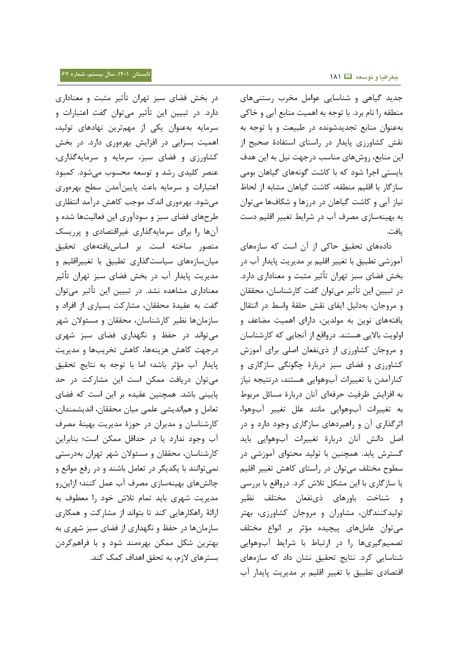جدید گیاهی و شناسایی عوامل مخرب رستنی های منطقه را نام برد. با توجه به اهمیت منابع آبی و خاکی بهعنوان منابع تجدیدشونده در طبیعت و با توجه به نقش کشاورزي پايدار در راستاي استفادۀ صحيح از این منابع، روشهای مناسب درجهت نیل به این هدف بایستی اجرا شود که با کاشت گونههای گیاهان بومی سازگار با اقلیم منطقه، کاشت گیاهان مشابه از لحاظ نیاز آبی و کاشت گیاهان در درزها و شکافها میتوان به بهینهسازی مصرف آب در شرایط تغییر اقلیم دست يافت.

دادههای تحقیق حاکی از آن است که سازههای آموزشی تطبیق با تغییر اقلیم بر مدیریت پایدار آب در بخش فضای سبز تهران تأثیر مثبت و معناداری دارد. در تبیین این تأثیر میتوان گفت کارشناسان، محققان و مروجان، بهدلیل ایفای نقش حلقۀ واسط در انتقال یافتههای نوین به مولدین، دارای اهمیت مضاعف و اولویت بالایی هستند. درواقع از آنجایی که کارشناسان و مروجان کشاورزي از ذي نفعان اصلي براي آموزش کشاورزي و فساي سبز دربارۀ چگننگی سازگاري و کنارآمدن با تغییرات آبوهوایی هستند، درنتیجه نیاز به افزایش ظرفیت حرفهای آنان دربارۀ مسائل مربوط به تغییرات آبوهوایی مانند علل تغییر آبوهوا، اثرگذاري آن و راهبردهاي سازگاري وجود دارد و در اصل دانش آنان دربارۀ تغییرات آبوهوایی باید گسترش یابد. همچنین با تولید محتوای آموزشی در سطوح مختلف می توان در راستای کاهش تغییر اقلیم یا سازگاری با این مشکل تلاش کرد. درواقع با بررسی و شناخت باورهای ذيiفعان مختلف نظير تولیدکنندگان، مشاوران و مروجان کشاورزي، بهتر می توان عاملهای پیچیده مؤثر بر انواع مختلف تصمیمگیریها را در ارتباط با شرایط آبوهوایی شناسایی کرد. نتایج تحقیق نشان داد که سازههای اقتصادی تطبیق با تغییر اقلیم بر مدیریت پایدار آب

در بخش فضای سبز تهران تأثیر مثبت و معناداری دارد. در تبیین این تأثیر میتوان گفت اعتبارات و سرمایه بهعنوان یکی از مهمترین نهادهای تولید، اهمیت بسزایی در افزایش بهرهوری دارد. در بخش کشاورزي و فساي سبز، سرمایه و سرمایهگذاري، عنصر کلیدی رشد و توسعه محسوب می شود. کمبود اعتبارات و سرمایه باعث پایینآمدن سطح بهرهوری میشود. بهرهوري اندک موجب کاهش درآمد انتظاري طرحهاي فضاي سبز و سودآوري این فعالیتها شده و آنها را براي سرمايهگذاري غيراقتصادي و پرريسک متصور ساخته است. بر اساس یافتههای تحقیق میان سازههای سیاست گذاری تطبیق با تغییراقلیم و مدیریت پایدار آب در بخش فضای سبز تهران تأثیر معناداري مشاهده نشد. در تبيين اين تأثير ميتوان گفت به عقیدۀ محققان، مشارکت بسیاری از افراد و سازمان ها نظیر کارشناسان، محققان و مسئولان شهر مییناند در حفظ و نگیداري فساي سبز هیري درجهت کاهش هزینهها، کاهش تخریبها و مدیریت پایدار آب مؤثر باشد؛ اما با توجه به نتایج تحقیق می توان دریافت ممکن است این مشارکت در حد پایینی باشد. همچنین عقیده بر این است که فضای تعامل و هماندیشی علمی میان محققان، اندیشمندان، کارشناسان و مدیران در حوزۀ مدیریت بهینۀ مصرف آب وجود ندارد یا در حداقل ممکن است؛ بنابراین کارشناسان، محققان و مسئولان شهر تهران بهدرستی نمی توانند با یکدیگر در تعامل باشند و در رفع موانع و چالشهاي بهينهسازي مصرف آب عمل كنند؛ ازاين رو مدیریت شهری باید تمام تلاش خود را معطوف به ارائۀ راهکارهایی کند تا بتواند از مشارکت و همکاری سازمان ها در حفظ و نگهداري از فضاي سبز شهري به بهترین شکل ممکن بهرهمند شود و با فراهمکردن بسترهاي لازم، به تحقق اهداف کمک کند.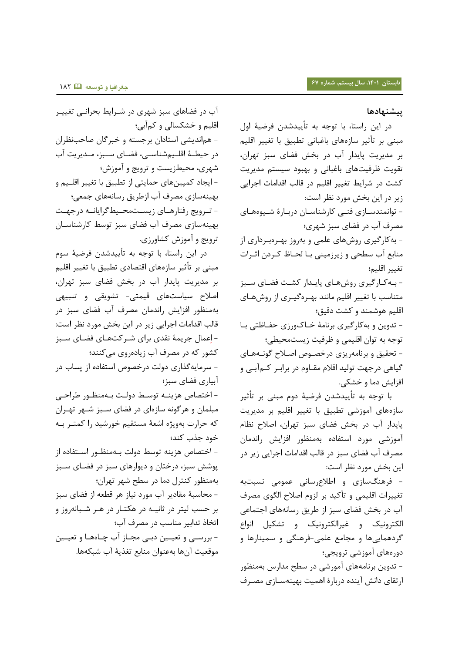## **پیشنهادها**

در این راستا، با توجه به تأییدشدن فرضیۀ اول مبیی بر یأثیر سازههاي باغبانی یطبیق با یغییر اقلیم بر مدیریت پایدار آب در بخش فضای سبز تهران، تقویت ظرفیتهای باغبانی و بهبود سیستم مدیریت کشت در شرایط تغییر اقلیم در قالب اقدامات اجرایی زیر در این بخش مورد نظر است: - توانمندسازي فني كارشناسان دربارۀ شيوههاي مصرف آب در فضاي سبز شهري؛ - بهکارگیري روشهاي علمی و بهروز بیوره بورداري از منابع آب سطحی و زیرزمینی بـا لحـاظ کـردن اثـرات یغییر اقلیم؛ - بـه کـارگیري روش هـاي پایـدار کشـت فضـاي سـبز متناسب با تغییر اقلیم مانند بهـرهگیـری از روشهـای اقلیم هوشمند و کشت دقیق؛ - تدوین و بهکارگیری برنامۀ خـاک1ورزي حفــاظتي بــا توجه به توان اقلیمی و ظرفیت زیستمحیطی؛ - تحقیق و برنامهریزي درخصوص اصلاح گونـههـاي گیاهی درجهت تولید اقلام مقـاوم در برابـر کــمآبــی و افزایش دما و شکی. با توجه به تأییدشدن فرضیۀ دوم مبنی بر تأثیر

سازههای آموزشی تطبیق با تغییر اقلیم بر مدیریت پایدار آب در بخش فضای سبز تهران، اصلاح نظام آموزشی مورد استفاده بهمنظور افزایش راندمان مصرف آب فضای سبز در قالب اقدامات اجرایی زیر در این بخش مورد نظر است:

- فرهنگسازی و اطلاعرسانی عمومی نسبتبه تغییرات اقلیمی و تأکید بر لزوم اصلاح الگوی مصرف آب در بخش فضای سبز از طریق رسانههای اجتماعی الکترونیک و غیرالکترونیک و تشکیل انواع گردهماییها و مدامع علمی-فرهیگی و سمییارها و دورههای آموزشی ترویجی؛ - تدوین برنامههای آمورشی در سطح مدارس بهمنظور

ارتقاي دانش آينده دربارۀ اهميت بهينهسـازي مصـرف

ب در فساهاي سبز هیري در هورایط بحرانوی یغییور اقلیم و خشکسالی و کمآبی؛ - هماندیشی استادان برجسته و خبرگان صاحبنظران در حیطـهٔ اقلـیمشناسـی، فضـای سـبز، مـدیریت آب شهری، محیطزیست و ترویج و آموزش؛ - ایجاد کمپینهای حمایتی از تطبیق با تغییر اقلــیم و بهینهسازي مصرف آب ازطریق رسانههاي جمعي؛ - تــرویج رفتارهــای زیســتمحــیطگرایانــه درجهــت بهینهسازی مصرف آب فضای سبز توسط کارشناسـان ترویج و آموزش کشاورزي.

در این راستا، با توجه به تأییدشدن فرضیۀ سوم مبنی بر تأثیر سازههای اقتصادی تطبیق با تغییر اقلیم بر مدیریت پایدار آب در بخش فضای سبز تهران، اصلاح سیاستهای قیمتی- تشویقی و تنبیهی بهمنظور افزایش راندمان مصرف آب فضای سبز در قالب اقدامات اجرایی زیر در این بخش مورد نظر است: - اعمال جریمۀ نقدي براي شـرکتهـاي فضـاي سـبز کشور که در مصرف آب زیادهروي میکنند؛ - سرمایهگذاری دولت درخصوص استفاده از پساب در ببیاري فساي سبز؛ - اختصاص هزینــه توسـط دولـت بــهمنظـور طراحــی مبلمان و هرگونه سازهاي در فضاي سـبز شـهر تهـران که حرارت بهویژه اشعهٔ مستقیم خورشید را کمتـر بـه خود جذب کند؛ - اختصاص هزینه توسط دولت بـهمنظـور اسـتفاده از پوشش سبز، درختان و دیوارهای سبز در فضـای سـبز بهمنظور کنترل دما در سطح شهر تهران؛ - محاسبۀ مقادیر آب مورد نیاز هر قطعه از فضای سبز بر حسب لیتر در ثانیـه در هکتـار در هـر شـبانه وز و اتخاذ تدابیر مناسب در مصرف آب؛

- بررسـی و تعیـین دبـی مجـاز آب چـاههـا و تعیـین موقعیت آنها بهعنوان منابع تغذیۀ آب شبکهها.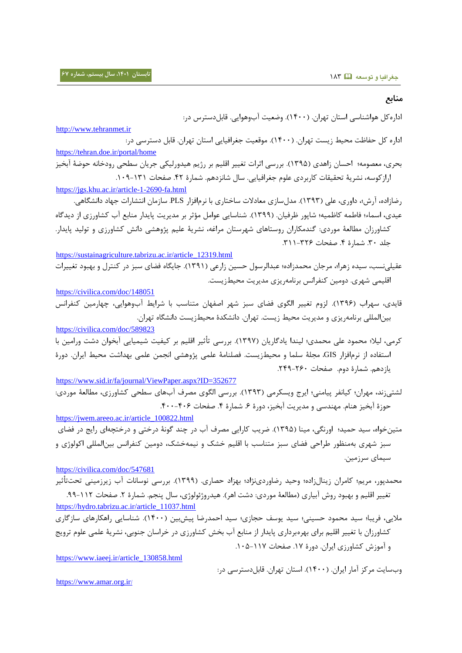**منابع**

اداره کل هواشناسی استان تهران. (۱۴۰۰). وضعیت آبوهوایی. قابلدسترس در: [http://www.tehranmet.ir](http://www.tehranmet.ir/) اداره کل حفاظت محیط زیست تهران. (۱۴۰۰). موقعیت جغرافیایی استان تهران. قابل دسترسی در: <https://tehran.doe.ir/portal/home> بحري، معصومه؛ احسان زاهدي (١٣٩۵). بررسی اثرات تغییر اقلیم بر رژیم هیدورلیکی جریان سطحی رودخانه حوضۀ آبخیز اراز کوسه، نشریۀ تحقیقات کاربردی علوم جغرافیایی. سال شانزدهم. شمارۀ ۴۲. صفحات ١٣١-١٠٩. <https://jgs.khu.ac.ir/article-1-2690-fa.html> رضازاده، آرش؛، داوري، علی (۱۳۹۳). مدل سازي معادلات ساختاري با نرمافزار PLS. سازمان انتشارات جهاد دانشگاهی. عیدي، اسماء؛ فاطمه کاظمیه؛ شاپور ظرفیان. (١٣٩٩). شناسایی عوامل مؤثر بر مدیریت پایدار منابع آب کشاورزي از دیدگاه کشاورزان مطالعۀ موردي: گندمکاران روستاهاي شهرستان مراغه، نشریۀ علیم پژوهشی دانش کشاورزي و تولید پایدار. جلد ٣٠. شمارۀ ۴. صفحات ٣٢٤-٣١١. [https://sustainagriculture.tabrizu.ac.ir/article\\_12319.html](https://sustainagriculture.tabrizu.ac.ir/article_12319.html) عقیلینسب، سیده زهرا؛، مرجان محمدزاده؛ عبدالرسول حسین زارعی (۱۳۹۱). جایگاه فضای سبز در کنترل و بهبود تغییرات اقلیمی شهری. دومین کنفرانس برنامهریزی مدیریت محیطزیست. <https://civilica.com/doc/148051> قایدی، سهراب (۱۳۹۶). لزوم تغییر الگوی فضای سبز شهر اصفهان متناسب با شرایط آبوهوایی، چهارمین کنفرانس بینالمللی برنامهریزی و مدیریت محیط زیست. تهران. دانشکدۀ محیطزیست دانشگاه تهران. <https://civilica.com/doc/589823> کرمی، لیلا؛ محمود علی محمدی؛ لیندا یادگاریان (۱۳۹۷). بررسی تأثیر اقلیم بر کیفیت شیمیایی آبخوان دشت ورامین با استفاده از نرمافزار GIS، مجلۀ سلما و محیطزیست. فصلنامۀ علمی پژوهشی انجمن علمی بهداشت محیط ایران. دورۀ یازدهم. همارۀ دوم. عفحات .041-061 <https://www.sid.ir/fa/journal/ViewPaper.aspx?ID=352677> لشتی: ند، مهران؛ کیانفر پیامنی؛ ایرج ویسکرمی (۱۳۹۳). بررسی الگوی مصرف آبهای سطحی کشاورزی، مطالعۀ موردی: حوزۀ آبخیز هنام. مهندسی و مدیریت آبخیز، دورۀ ۶. شمارۀ ۴. صفحات ۴۰۶-۴۰۰. [https://jwem.areeo.ac.ir/article\\_100822.html](https://jwem.areeo.ac.ir/article_100822.html) متین خواه، سید حمید؛ اورنگی، مینا (۱۳۹۵). ضریب کارایی مصرف آب در چند گونۀ در ختی و در ختچهای رایج در فضای سبز شهری بهمنظور طراحی فضای سبز متناسب با اقلیم خشک و نیمهخشک، دومین کنفرانس بینالمللی اکولوژی و سیمای سرزمین. <https://civilica.com/doc/547681> محمدپور، مریم؛ کامران زینالزاده؛ وحید رضاوردی $\dot{\bf c}$ (۱۳۹۹)، بررسی نوسانات آب زیرزمینی تحت $\ddot{\bf r}$ ثیر تغییر اقلیم و بهبود روش آبیاري (مطالعۀ موردي: دشت اهر). هیدروژئولوژي، سال پنجم. شمارۀ ۲. صفحات ۱۱۲-۹۹. [https://hydro.tabrizu.ac.ir/article\\_11037.html](https://hydro.tabrizu.ac.ir/article_11037.html) ملایی، فریبا؛ سید محمود حسینی؛ سید یوسف حجازی؛ سید احمدرضا پیشبین (۱۴۰۰). شناسایی راهکارهای سازگاری کشاورزان با تغییر اقلیم براي بهرهبرداري پایدار از منابع آب بخش کشاورزي در خراسان جنوبی، نشریۀ علمی علوم ترویج و آموزش کشاورزي ایران. دورۀ ١٧. صفحات ١١٧-١٠۵. [https://www.iaeej.ir/article\\_130858.html](https://www.iaeej.ir/article_130858.html)

وب سایت مرکز آمار ایران. (۱۴۰۰). استان تهران. قابل دسترسی در:

[https://www.amar.org.ir](https://www.amar.org.ir/)/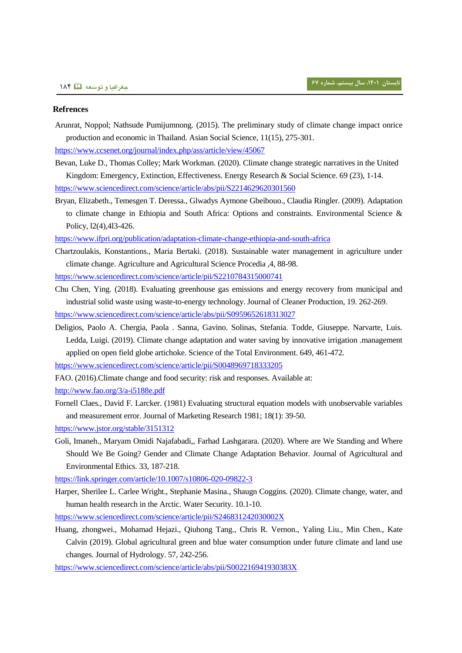#### **Refrences**

Arunrat, Noppol; Nathsude Pumijumnong. (2015). The preliminary study of climate change impact onrice production and economic in Thailand. Asian Social Science, 11(15), 275-301.

<https://www.ccsenet.org/journal/index.php/ass/article/view/45067>

- Bevan, Luke D., Thomas Colley; Mark Workman. (2020). Climate change strategic narratives in the United Kingdom: Emergency, Extinction, Effectiveness. Energy Research & Social Science. 69 (23), 1-14. <https://www.sciencedirect.com/science/article/abs/pii/S2214629620301560>
- Bryan, Elizabeth., Temesgen T. Deressa., Glwadys Aymone Gbeibouo., Claudia Ringler. (2009). Adaptation to climate change in Ethiopia and South Africa: Options and constraints. Environmental Science & Policy, l2(4),4l3-426.

<https://www.ifpri.org/publication/adaptation-climate-change-ethiopia-and-south-africa>

Chartzoulakis, Konstantions., Maria Bertaki. (2018). Sustainable water management in agriculture under climate change. Agriculture and Agricultural Science Procedia ,4, 88-98.

<https://www.sciencedirect.com/science/article/pii/S2210784315000741>

- Chu Chen, Ying. (2018). Evaluating greenhouse gas emissions and energy recovery from municipal and industrial solid waste using waste-to-energy technology. Journal of Cleaner Production, 19. 262-269. <https://www.sciencedirect.com/science/article/abs/pii/S0959652618313027>
- Deligios, Paolo A. Chergia, Paola . Sanna, Gavino. Solinas, Stefania. Todde, Giuseppe. Narvarte, Luis. Ledda, Luigi. (2019). Climate change adaptation and water saving by innovative irrigation .management applied on open field globe artichoke. Science of the Total Environment. 649, 461-472.

<https://www.sciencedirect.com/science/article/pii/S0048969718333205>

- FAO. (2016).Climate change and food security: risk and responses. Available at:
- <http://www.fao.org/3/a-i5188e.pdf>
- Fornell Claes., David F. Larcker. (1981) Evaluating structural equation models with unobservable variables and measurement error. Journal of Marketing Research 1981; 18(1): 39-50.

<https://www.jstor.org/stable/3151312>

Goli, Imaneh., Maryam Omidi Najafabadi,, Farhad Lashgarara. (2020). Where are We Standing and Where Should We Be Going? Gender and Climate Change Adaptation Behavior. Journal of Agricultural and Environmental Ethics. 33, 187-218.

<https://link.springer.com/article/10.1007/s10806-020-09822-3>

Harper, Sherilee L. Carlee Wright., Stephanie Masina., Shaugn Coggins. (2020). Climate change, water, and human health research in the Arctic. Water Security. 10.1-10.

<https://www.sciencedirect.com/science/article/pii/S246831242030002X>

Huang, zhongwei., Mohamad Hejazi., Qiuhong Tang., Chris R. Vernon., Yaling Liu., Min Chen., Kate Calvin (2019). Global agricultural green and blue water consumption under future climate and land use changes. Journal of Hydrology. 57, 242-256.

<https://www.sciencedirect.com/science/article/abs/pii/S002216941930383X>